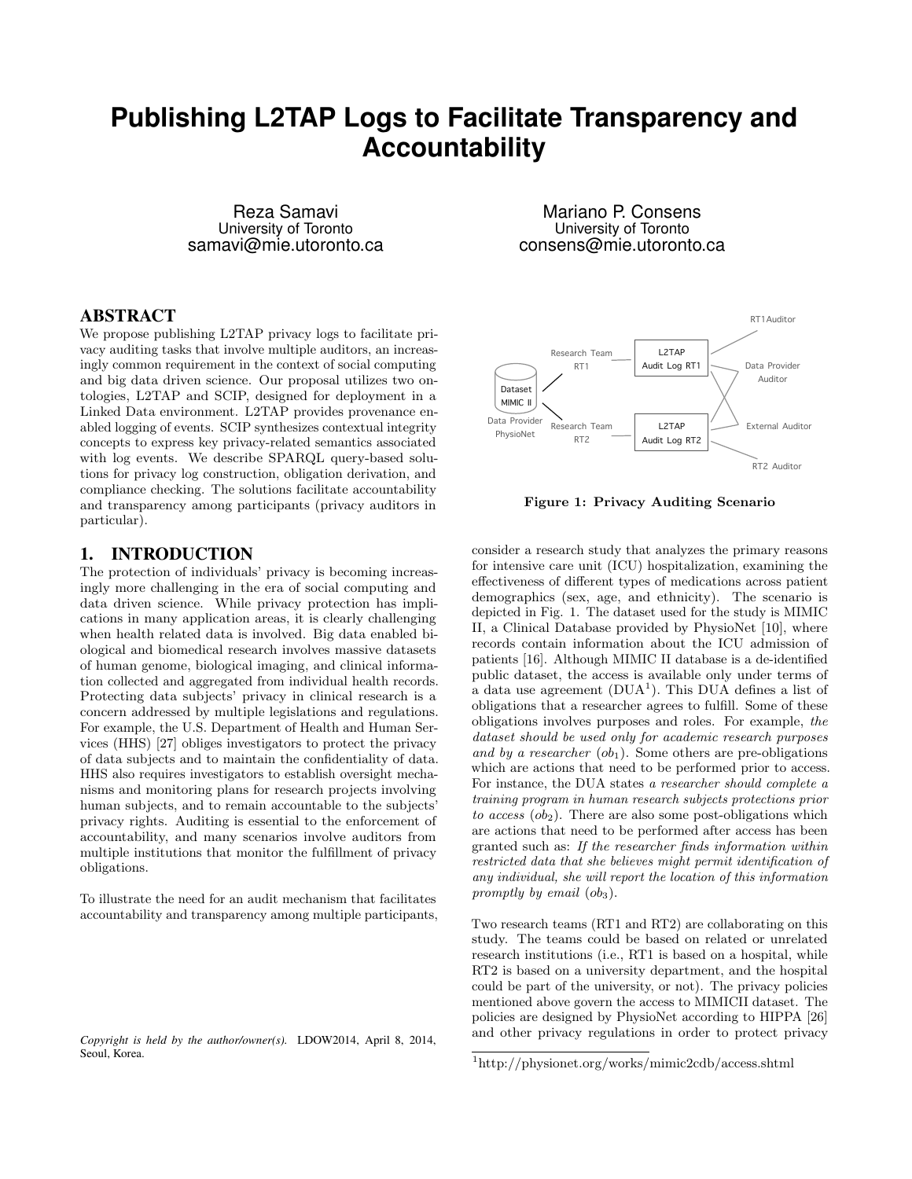# **Publishing L2TAP Logs to Facilitate Transparency and Accountability**

Reza Samavi University of Toronto samavi@mie.utoronto.ca

### ABSTRACT

We propose publishing L2TAP privacy logs to facilitate privacy auditing tasks that involve multiple auditors, an increasingly common requirement in the context of social computing and big data driven science. Our proposal utilizes two ontologies, L2TAP and SCIP, designed for deployment in a Linked Data environment. L2TAP provides provenance enabled logging of events. SCIP synthesizes contextual integrity concepts to express key privacy-related semantics associated with log events. We describe SPARQL query-based solutions for privacy log construction, obligation derivation, and compliance checking. The solutions facilitate accountability and transparency among participants (privacy auditors in particular).

#### 1. INTRODUCTION

The protection of individuals' privacy is becoming increasingly more challenging in the era of social computing and data driven science. While privacy protection has implications in many application areas, it is clearly challenging when health related data is involved. Big data enabled biological and biomedical research involves massive datasets of human genome, biological imaging, and clinical information collected and aggregated from individual health records. Protecting data subjects' privacy in clinical research is a concern addressed by multiple legislations and regulations. For example, the U.S. Department of Health and Human Services (HHS) [27] obliges investigators to protect the privacy of data subjects and to maintain the confidentiality of data. HHS also requires investigators to establish oversight mechanisms and monitoring plans for research projects involving human subjects, and to remain accountable to the subjects' privacy rights. Auditing is essential to the enforcement of accountability, and many scenarios involve auditors from multiple institutions that monitor the fulfillment of privacy obligations. tologies, L2TAP and SCIP, designed for deployment in a<br>
longital base arrivalment L2TAP provides provenance emails and the state in<br>
Linkel base are the state of the state of the state in the state of<br>
contents able desig

To illustrate the need for an audit mechanism that facilitates accountability and transparency among multiple participants,

*Copyright is held by the author/owner(s).* LDOW2014, April 8, 2014,

Mariano P. Consens University of Toronto consens@mie.utoronto.ca



Figure 1: Privacy Auditing Scenario

consider a research study that analyzes the primary reasons for intensive care unit (ICU) hospitalization, examining the effectiveness of different types of medications across patient demographics (sex, age, and ethnicity). The scenario is depicted in Fig. 1. The dataset used for the study is MIMIC II, a Clinical Database provided by PhysioNet [10], where records contain information about the ICU admission of patients [16]. Although MIMIC II database is a de-identified public dataset, the access is available only under terms of a data use agreement  $(DUA^1)$ . This DUA defines a list of obligations that a researcher agrees to fulfill. Some of these obligations involves purposes and roles. For example, the dataset should be used only for academic research purposes and by a researcher  $(obj_1)$ . Some others are pre-obligations which are actions that need to be performed prior to access. For instance, the DUA states a researcher should complete a training program in human research subjects protections prior to access  $(obj_2)$ . There are also some post-obligations which are actions that need to be performed after access has been granted such as: If the researcher finds information within restricted data that she believes might permit identification of any individual, she will report the location of this information promptly by email  $(obj_3)$ .

Two research teams (RT1 and RT2) are collaborating on this study. The teams could be based on related or unrelated research institutions (i.e., RT1 is based on a hospital, while RT2 is based on a university department, and the hospital could be part of the university, or not). The privacy policies mentioned above govern the access to MIMICII dataset. The policies are designed by PhysioNet according to HIPPA [26] and other privacy regulations in order to protect privacy

<sup>1</sup>http://physionet.org/works/mimic2cdb/access.shtml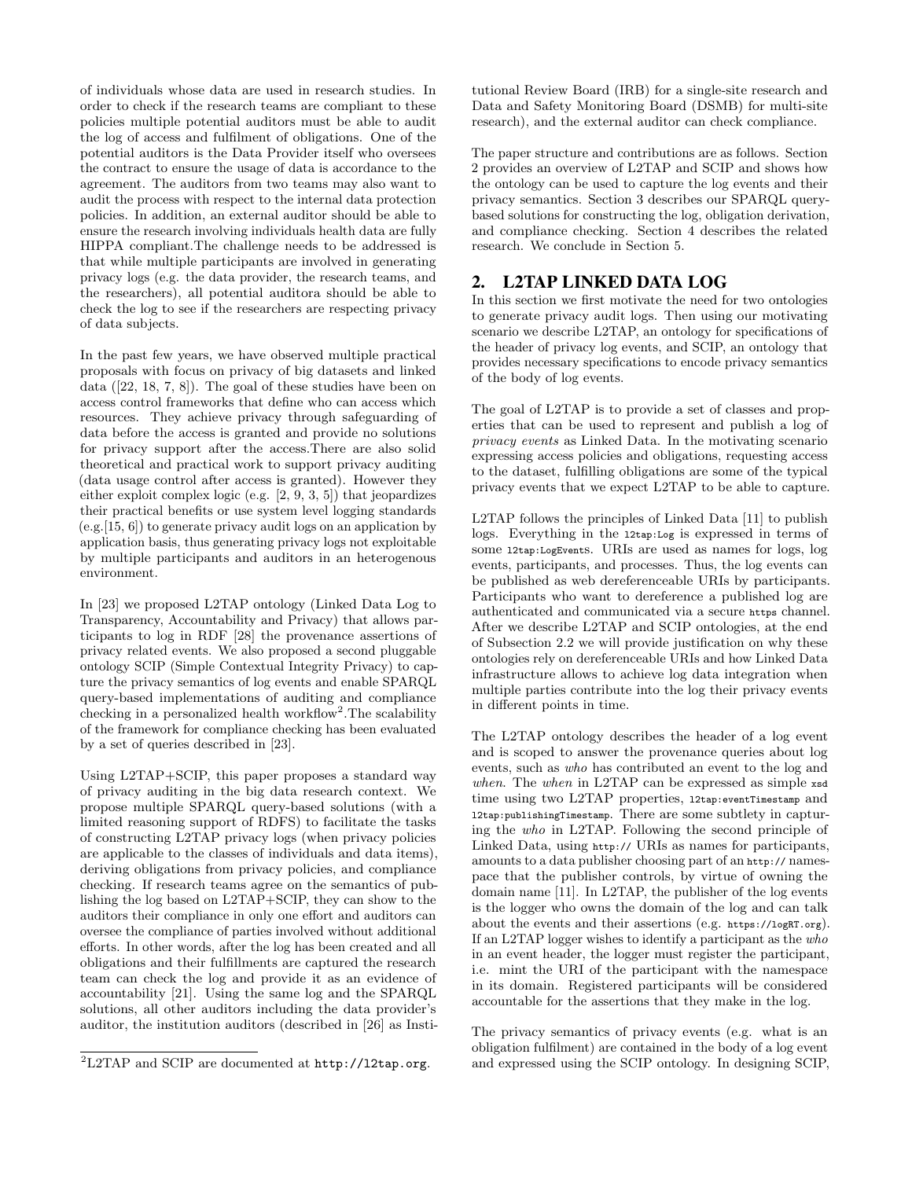of individuals whose data are used in research studies. In order to check if the research teams are compliant to these policies multiple potential auditors must be able to audit the log of access and fulfilment of obligations. One of the potential auditors is the Data Provider itself who oversees the contract to ensure the usage of data is accordance to the agreement. The auditors from two teams may also want to audit the process with respect to the internal data protection policies. In addition, an external auditor should be able to ensure the research involving individuals health data are fully HIPPA compliant.The challenge needs to be addressed is that while multiple participants are involved in generating privacy logs (e.g. the data provider, the research teams, and the researchers), all potential auditora should be able to check the log to see if the researchers are respecting privacy of data subjects.

In the past few years, we have observed multiple practical proposals with focus on privacy of big datasets and linked data ([22, 18, 7, 8]). The goal of these studies have been on access control frameworks that define who can access which resources. They achieve privacy through safeguarding of data before the access is granted and provide no solutions for privacy support after the access.There are also solid theoretical and practical work to support privacy auditing (data usage control after access is granted). However they either exploit complex logic (e.g. [2, 9, 3, 5]) that jeopardizes their practical benefits or use system level logging standards  $(e.g. [15, 6])$  to generate privacy audit logs on an application by application basis, thus generating privacy logs not exploitable by multiple participants and auditors in an heterogenous environment.

In [23] we proposed L2TAP ontology (Linked Data Log to Transparency, Accountability and Privacy) that allows participants to log in RDF [28] the provenance assertions of privacy related events. We also proposed a second pluggable ontology SCIP (Simple Contextual Integrity Privacy) to capture the privacy semantics of log events and enable SPARQL query-based implementations of auditing and compliance checking in a personalized health workflow<sup>2</sup>. The scalability of the framework for compliance checking has been evaluated by a set of queries described in [23].

Using L2TAP+SCIP, this paper proposes a standard way of privacy auditing in the big data research context. We propose multiple SPARQL query-based solutions (with a limited reasoning support of RDFS) to facilitate the tasks of constructing L2TAP privacy logs (when privacy policies are applicable to the classes of individuals and data items), deriving obligations from privacy policies, and compliance checking. If research teams agree on the semantics of publishing the log based on L2TAP+SCIP, they can show to the auditors their compliance in only one effort and auditors can oversee the compliance of parties involved without additional efforts. In other words, after the log has been created and all obligations and their fulfillments are captured the research team can check the log and provide it as an evidence of accountability [21]. Using the same log and the SPARQL solutions, all other auditors including the data provider's auditor, the institution auditors (described in [26] as Institutional Review Board (IRB) for a single-site research and Data and Safety Monitoring Board (DSMB) for multi-site research), and the external auditor can check compliance.

The paper structure and contributions are as follows. Section 2 provides an overview of L2TAP and SCIP and shows how the ontology can be used to capture the log events and their privacy semantics. Section 3 describes our SPARQL querybased solutions for constructing the log, obligation derivation, and compliance checking. Section 4 describes the related research. We conclude in Section 5.

# 2. L2TAP LINKED DATA LOG

In this section we first motivate the need for two ontologies to generate privacy audit logs. Then using our motivating scenario we describe L2TAP, an ontology for specifications of the header of privacy log events, and SCIP, an ontology that provides necessary specifications to encode privacy semantics of the body of log events.

The goal of L2TAP is to provide a set of classes and properties that can be used to represent and publish a log of privacy events as Linked Data. In the motivating scenario expressing access policies and obligations, requesting access to the dataset, fulfilling obligations are some of the typical privacy events that we expect L2TAP to be able to capture.

L2TAP follows the principles of Linked Data [11] to publish logs. Everything in the l2tap:Log is expressed in terms of some l2tap:LogEvents. URIs are used as names for logs, log events, participants, and processes. Thus, the log events can be published as web dereferenceable URIs by participants. Participants who want to dereference a published log are authenticated and communicated via a secure https channel. After we describe L2TAP and SCIP ontologies, at the end of Subsection 2.2 we will provide justification on why these ontologies rely on dereferenceable URIs and how Linked Data infrastructure allows to achieve log data integration when multiple parties contribute into the log their privacy events in different points in time.

The L2TAP ontology describes the header of a log event and is scoped to answer the provenance queries about log events, such as who has contributed an event to the log and when. The when in L2TAP can be expressed as simple xsd time using two L2TAP properties, l2tap:eventTimestamp and l2tap:publishingTimestamp. There are some subtlety in capturing the who in L2TAP. Following the second principle of Linked Data, using http:// URIs as names for participants, amounts to a data publisher choosing part of an http:// namespace that the publisher controls, by virtue of owning the domain name [11]. In L2TAP, the publisher of the log events is the logger who owns the domain of the log and can talk about the events and their assertions (e.g. https://logRT.org). If an L2TAP logger wishes to identify a participant as the who in an event header, the logger must register the participant, i.e. mint the URI of the participant with the namespace in its domain. Registered participants will be considered accountable for the assertions that they make in the log.

The privacy semantics of privacy events (e.g. what is an obligation fulfilment) are contained in the body of a log event and expressed using the SCIP ontology. In designing SCIP,

 ${}^{2}$ L2TAP and SCIP are documented at http://12tap.org.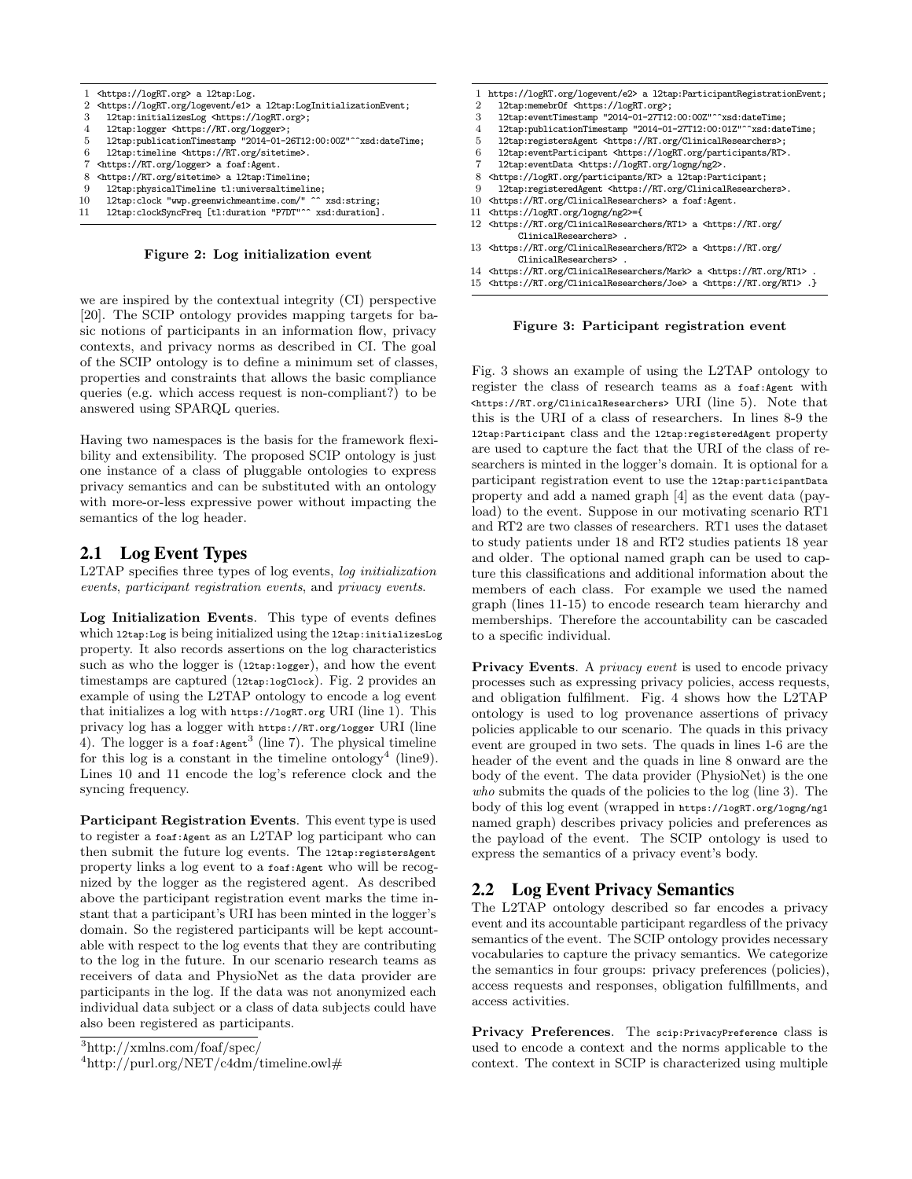

Figure 2: Log initialization event

we are inspired by the contextual integrity (CI) perspective [20]. The SCIP ontology provides mapping targets for basic notions of participants in an information flow, privacy contexts, and privacy norms as described in CI. The goal of the SCIP ontology is to define a minimum set of classes, properties and constraints that allows the basic compliance queries (e.g. which access request is non-compliant?) to be answered using SPARQL queries.

Having two namespaces is the basis for the framework flexibility and extensibility. The proposed SCIP ontology is just one instance of a class of pluggable ontologies to express privacy semantics and can be substituted with an ontology with more-or-less expressive power without impacting the semantics of the log header.

# 2.1 Log Event Types

L2TAP specifies three types of log events, log initialization events, participant registration events, and privacy events.

Log Initialization Events. This type of events defines which l2tap:Log is being initialized using the l2tap:initializesLog property. It also records assertions on the log characteristics such as who the logger is (12tap:logger), and how the event timestamps are captured (12tap:logClock). Fig. 2 provides an example of using the L2TAP ontology to encode a log event that initializes a log with https://logRT.org URI (line 1). This privacy log has a logger with https://RT.org/logger URI (line 4). The logger is a foaf: Agent<sup>3</sup> (line 7). The physical timeline for this log is a constant in the timeline ontology<sup>4</sup> (line9). Lines 10 and 11 encode the log's reference clock and the syncing frequency.

Participant Registration Events. This event type is used to register a foaf:Agent as an L2TAP log participant who can then submit the future log events. The l2tap:registersAgent property links a log event to a foaf:Agent who will be recognized by the logger as the registered agent. As described above the participant registration event marks the time instant that a participant's URI has been minted in the logger's domain. So the registered participants will be kept accountable with respect to the log events that they are contributing to the log in the future. In our scenario research teams as receivers of data and PhysioNet as the data provider are participants in the log. If the data was not anonymized each individual data subject or a class of data subjects could have also been registered as participants.

|                | https://logRT.org/logevent/e2> a l2tap:ParticipantRegistrationEvent;                                  |
|----------------|-------------------------------------------------------------------------------------------------------|
| $\overline{2}$ | l2tap:memebr0f <https: logrt.org="">;</https:>                                                        |
| 3              | l2tap:eventTimestamp "2014-01-27T12:00:00Z"^^xsd:dateTime;                                            |
| 4              | l2tap:publicationTimestamp "2014-01-27T12:00:01Z"^^xsd:dateTime;                                      |
| 5              | l2tap:registersAgent <https: clinicalresearchers="" rt.org="">;</https:>                              |
| 6              | l2tap:eventParticipant <https: logrt.org="" participants="" rt="">.</https:>                          |
|                | l2tap:eventData <https: logng="" logrt.org="" ng2="">.</https:>                                       |
| 8              | <https: logrt.org="" participants="" rt=""> a l2tap:Participant;</https:>                             |
| 9              | l2tap:registeredAgent <https: clinicalresearchers="" rt.org="">.</https:>                             |
| 10             | <https: clinicalresearchers="" rt.org=""> a foaf:Agent.</https:>                                      |
| 11             | <https: logng="" logrt.org="" ng2="">={</https:>                                                      |
|                | 12 <https: clinicalresearchers="" rt.org="" rt1=""> a <https: <="" rt.org="" td=""></https:></https:> |
|                | ClinicalResearchers>,                                                                                 |
|                | 13 <https: clinicalresearchers="" rt.org="" rt2=""> a <https: <="" rt.org="" td=""></https:></https:> |
|                | ClinicalResearchers> .                                                                                |

- ClinicalResearchers> . 14 <https://RT.org/ClinicalResearchers/Mark> a <https://RT.org/RT1> .
- 15 <https://RT.org/ClinicalResearchers/Joe> a <https://RT.org/RT1> .}

#### Figure 3: Participant registration event

Fig. 3 shows an example of using the L2TAP ontology to register the class of research teams as a foaf:Agent with <https://RT.org/ClinicalResearchers> URI (line 5). Note that this is the URI of a class of researchers. In lines 8-9 the l2tap:Participant class and the l2tap:registeredAgent property are used to capture the fact that the URI of the class of researchers is minted in the logger's domain. It is optional for a participant registration event to use the l2tap:participantData property and add a named graph [4] as the event data (payload) to the event. Suppose in our motivating scenario RT1 and RT2 are two classes of researchers. RT1 uses the dataset to study patients under 18 and RT2 studies patients 18 year and older. The optional named graph can be used to capture this classifications and additional information about the members of each class. For example we used the named graph (lines 11-15) to encode research team hierarchy and memberships. Therefore the accountability can be cascaded to a specific individual.

Privacy Events. A *privacy event* is used to encode privacy processes such as expressing privacy policies, access requests, and obligation fulfilment. Fig. 4 shows how the L2TAP ontology is used to log provenance assertions of privacy policies applicable to our scenario. The quads in this privacy event are grouped in two sets. The quads in lines 1-6 are the header of the event and the quads in line 8 onward are the body of the event. The data provider (PhysioNet) is the one who submits the quads of the policies to the log (line 3). The body of this log event (wrapped in https://logRT.org/logng/ng1 named graph) describes privacy policies and preferences as the payload of the event. The SCIP ontology is used to express the semantics of a privacy event's body.

## 2.2 Log Event Privacy Semantics

The L2TAP ontology described so far encodes a privacy event and its accountable participant regardless of the privacy semantics of the event. The SCIP ontology provides necessary vocabularies to capture the privacy semantics. We categorize the semantics in four groups: privacy preferences (policies), access requests and responses, obligation fulfillments, and access activities.

Privacy Preferences. The scip: PrivacyPreference class is used to encode a context and the norms applicable to the context. The context in SCIP is characterized using multiple

<sup>3</sup>http://xmlns.com/foaf/spec/

 $^{4}$ http://purl.org/NET/c4dm/timeline.owl#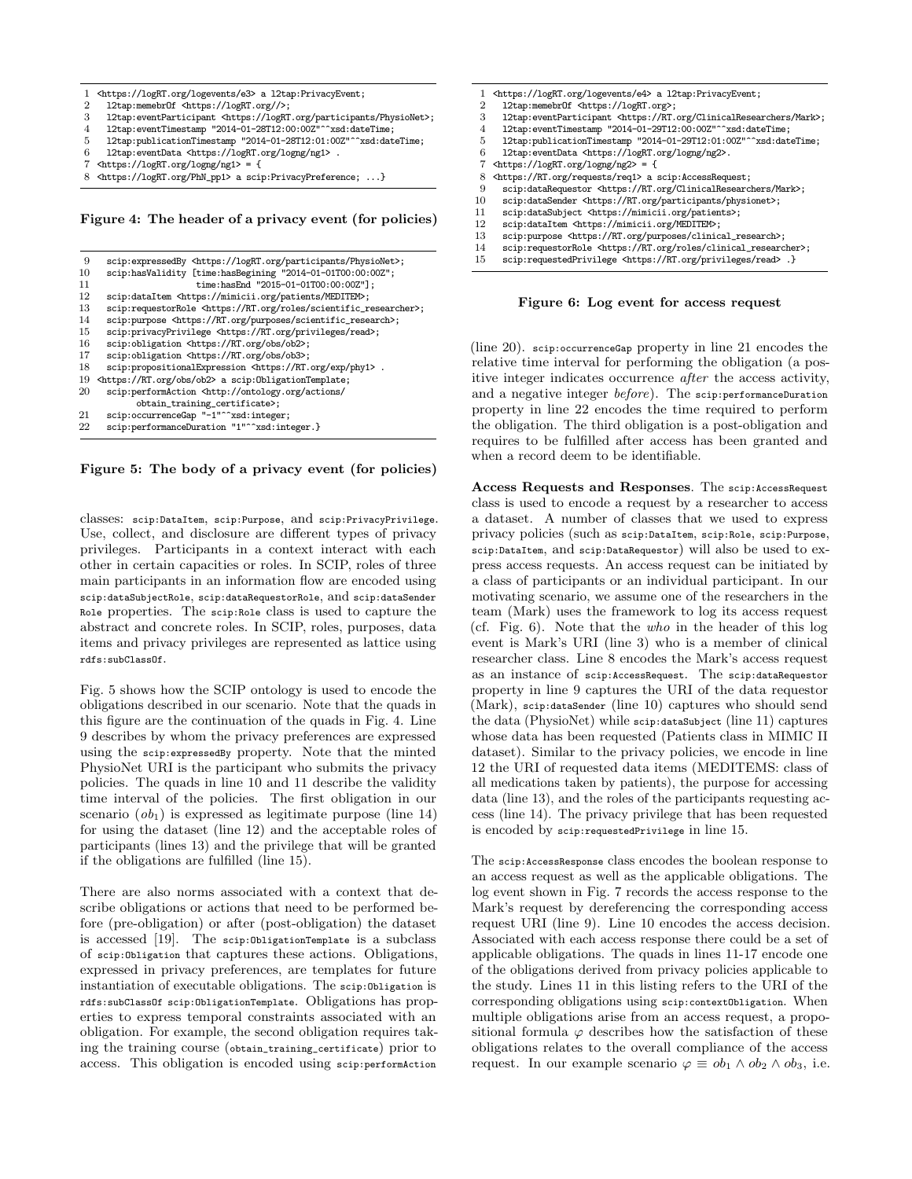1 <https://logRT.org/logevents/e3> a l2tap:PrivacyEvent;<br>2 12tap:memebr0f <https://logRT.org//>; 2 l2tap:memebrOf <https://logRT.org//>;<br>3 l2tap:eventParticipant <https://logRT 3 l2tap:eventParticipant <https://logRT.org/participants/PhysioNet>;<br>4 l2tap:eventTimestamp "2014-01-28T12:00:002"^^xsd:dateTime: 4 l2tap:eventTimestamp "2014-01-28T12:00:00Z"^^xsd:dateTime; 5 12tap:publicationTimestamp "2014-01-28T12:01:00Z"^^xsd:dateTime;<br>6 12tap:eventData <br/>https://logRT.org/logng/ng1> 12tap:eventData <https://logRT.org/logng/ng1> . 7 <https://logRT.org/logng/ng1> = { 8 <https://logRT.org/PhN\_pp1> a scip:PrivacyPreference; ...}

Figure 4: The header of a privacy event (for policies)

| 9  | scip:expressedBy <https: logrt.org="" participants="" physionet="">;</https:>     |
|----|-----------------------------------------------------------------------------------|
| 10 | scip:hasValidity [time:hasBegining "2014-01-01T00:00:00Z";                        |
| 11 | time:hasEnd "2015-01-01T00:00:00Z"];                                              |
| 12 | scip:dataItem <https: meditem="" mimicii.org="" patients="">;</https:>            |
| 13 | scip:requestorRole <https: roles="" rt.org="" scientific_researcher="">;</https:> |
| 14 | scip:purpose <https: purposes="" rt.org="" scientific_research="">;</https:>      |
| 15 | scip:privacyPrivilege <https: privileges="" read="" rt.org="">;</https:>          |
| 16 | scip:obligation <https: ob2="" obs="" rt.org="">;</https:>                        |
| 17 | scip:obligation <https: ob3="" obs="" rt.org="">;</https:>                        |
| 18 | scip:propositionalExpression <https: exp="" phy1="" rt.org=""> .</https:>         |
| 19 | <https: ob2="" obs="" rt.org=""> a scip:0bligationTemplate;</https:>              |
| 20 | scip:performAction <http: <="" actions="" ontology.org="" td=""></http:>          |
|    | obtain_training_certificate>;                                                     |
| 21 | scip:occurrenceGap "-1"^^xsd:integer;                                             |
| 22 | scip:performanceDuration "1"^^xsd:integer.}                                       |
|    |                                                                                   |

Figure 5: The body of a privacy event (for policies)

classes: scip:DataItem, scip:Purpose, and scip:PrivacyPrivilege. Use, collect, and disclosure are different types of privacy privileges. Participants in a context interact with each other in certain capacities or roles. In SCIP, roles of three main participants in an information flow are encoded using scip:dataSubjectRole, scip:dataRequestorRole, and scip:dataSender Role properties. The scip:Role class is used to capture the abstract and concrete roles. In SCIP, roles, purposes, data items and privacy privileges are represented as lattice using rdfs:subClassOf.

Fig. 5 shows how the SCIP ontology is used to encode the obligations described in our scenario. Note that the quads in this figure are the continuation of the quads in Fig. 4. Line 9 describes by whom the privacy preferences are expressed using the scip:expressedBy property. Note that the minted PhysioNet URI is the participant who submits the privacy policies. The quads in line 10 and 11 describe the validity time interval of the policies. The first obligation in our scenario  $(obj_1)$  is expressed as legitimate purpose (line 14) for using the dataset (line 12) and the acceptable roles of participants (lines 13) and the privilege that will be granted if the obligations are fulfilled (line 15).

There are also norms associated with a context that describe obligations or actions that need to be performed before (pre-obligation) or after (post-obligation) the dataset is accessed [19]. The scip:ObligationTemplate is a subclass of scip:Obligation that captures these actions. Obligations, expressed in privacy preferences, are templates for future instantiation of executable obligations. The scip:Obligation is rdfs:subClassOf scip:ObligationTemplate. Obligations has properties to express temporal constraints associated with an obligation. For example, the second obligation requires taking the training course (obtain\_training\_certificate) prior to access. This obligation is encoded using scip:performAction

- 1 <https://logRT.org/logevents/e4> a l2tap:PrivacyEvent;<br>2 l2tap:memebr0f <https://logRT.org>;
- 2 l2tap:memebrOf <https://logRT.org>;<br>3 l2tap:eventParticipant <https://RT.
- 3 l2tap:eventParticipant <https://RT.org/ClinicalResearchers/Mark>;<br>4 l2tap:eventTimestamp "2014-01-29T12:00:00Z"^^xsd:dateTime:
- 1 12tap:eventTimestamp "2014-01-29T12:00:00Z"^^xsd:dateTime;<br>5 12tap:publicationTimestamp "2014-01-29T12:01:00Z"^^xsd:dat
- 5 l2tap:publicationTimestamp "2014-01-29T12:01:00Z"^^xsd:dateTime;<br>6 l2tap:eventData <https://logRT.org/logng/ng2>.
- 6 l2tap:eventData <https://logRT.org/logng/ng2>.
- 7 <https://logRT.org/logng/ng2> = {
- 8 <https://RT.org/requests/req1> a scip:AccessRequest;<br>9 scip:dataRequestor <https://RT.org/ClinicalResearc
- 9 scip:dataRequestor <https://RT.org/ClinicalResearchers/Mark>;<br>10 scip:dataSender <https://RT.org/participants/physionet>;
- 10 scip:dataSender <https://RT.org/participants/physionet>;<br>11 scip:dataSubiect <https://mimicii.org/patients>:
- 11 scip:dataSubject <https://mimicii.org/patients>;<br>12 scip:dataItem <https://mimicii.org/MEDITEM>:
- 12 scip:dataItem <https://mimicii.org/MEDITEM>;<br>13 scip:purpose <https://RT.org/purposes/clinics scip:purpose <https://RT.org/purposes/clinical\_research>;
- 
- 14 scip:requestorRole <https://RT.org/roles/clinical\_researcher>; 15 scip:requestedPrivilege <https://RT.org/privileges/read> .}

Figure 6: Log event for access request

(line 20). scip:occurrenceGap property in line 21 encodes the relative time interval for performing the obligation (a positive integer indicates occurrence after the access activity, and a negative integer before). The scip:performanceDuration property in line 22 encodes the time required to perform the obligation. The third obligation is a post-obligation and requires to be fulfilled after access has been granted and when a record deem to be identifiable.

Access Requests and Responses. The scip:AccessRequest class is used to encode a request by a researcher to access a dataset. A number of classes that we used to express privacy policies (such as scip:DataItem, scip:Role, scip:Purpose, scip:DataItem, and scip:DataRequestor) will also be used to express access requests. An access request can be initiated by a class of participants or an individual participant. In our motivating scenario, we assume one of the researchers in the team (Mark) uses the framework to log its access request (cf. Fig. 6). Note that the who in the header of this log event is Mark's URI (line 3) who is a member of clinical researcher class. Line 8 encodes the Mark's access request as an instance of scip:AccessRequest. The scip:dataRequestor property in line 9 captures the URI of the data requestor (Mark), scip:dataSender (line 10) captures who should send the data (PhysioNet) while scip:dataSubject (line 11) captures whose data has been requested (Patients class in MIMIC II dataset). Similar to the privacy policies, we encode in line 12 the URI of requested data items (MEDITEMS: class of all medications taken by patients), the purpose for accessing data (line 13), and the roles of the participants requesting access (line 14). The privacy privilege that has been requested is encoded by scip:requestedPrivilege in line 15.

The scip:AccessResponse class encodes the boolean response to an access request as well as the applicable obligations. The log event shown in Fig. 7 records the access response to the Mark's request by dereferencing the corresponding access request URI (line 9). Line 10 encodes the access decision. Associated with each access response there could be a set of applicable obligations. The quads in lines 11-17 encode one of the obligations derived from privacy policies applicable to the study. Lines 11 in this listing refers to the URI of the corresponding obligations using scip:contextObligation. When multiple obligations arise from an access request, a propositional formula  $\varphi$  describes how the satisfaction of these obligations relates to the overall compliance of the access request. In our example scenario  $\varphi \equiv ob_1 \wedge ob_2 \wedge ob_3$ , i.e.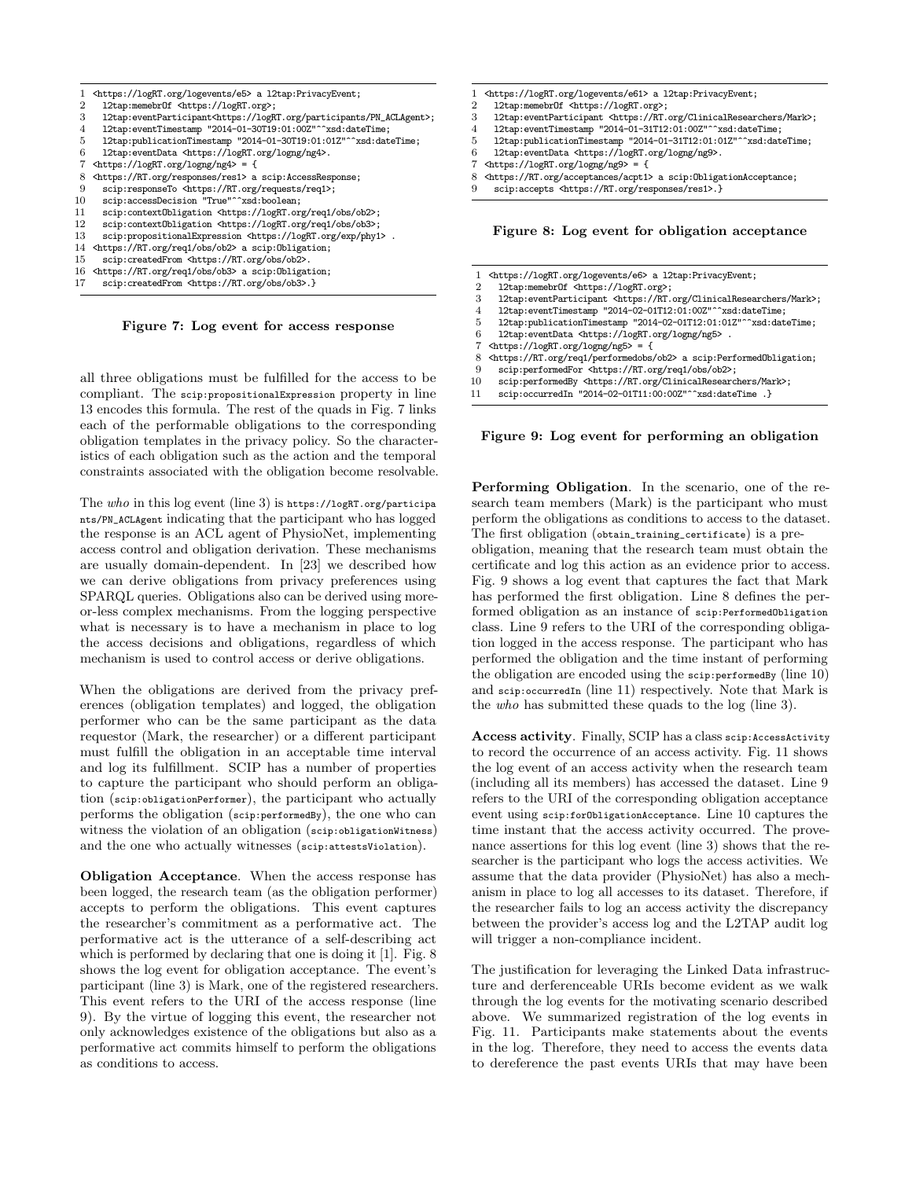

- 15 scip:createdFrom <https://RT.org/obs/ob2>.<br>16 <https://RT.org/req1/obs/ob3> a scip:0bligat 16 <https://RT.org/req1/obs/ob3> a scip:Obligation;
- 17 scip:createdFrom <https://RT.org/obs/ob3>.}

Figure 7: Log event for access response

all three obligations must be fulfilled for the access to be compliant. The scip:propositionalExpression property in line 13 encodes this formula. The rest of the quads in Fig. 7 links each of the performable obligations to the corresponding obligation templates in the privacy policy. So the characteristics of each obligation such as the action and the temporal constraints associated with the obligation become resolvable.

The who in this log event (line 3) is https://logRT.org/participa nts/PN\_ACLAgent indicating that the participant who has logged the response is an ACL agent of PhysioNet, implementing access control and obligation derivation. These mechanisms are usually domain-dependent. In [23] we described how we can derive obligations from privacy preferences using SPARQL queries. Obligations also can be derived using moreor-less complex mechanisms. From the logging perspective what is necessary is to have a mechanism in place to log the access decisions and obligations, regardless of which mechanism is used to control access or derive obligations.

When the obligations are derived from the privacy preferences (obligation templates) and logged, the obligation performer who can be the same participant as the data requestor (Mark, the researcher) or a different participant must fulfill the obligation in an acceptable time interval and log its fulfillment. SCIP has a number of properties to capture the participant who should perform an obligation (scip:obligationPerformer), the participant who actually performs the obligation (scip:performedBy), the one who can witness the violation of an obligation (scip:obligationWitness) and the one who actually witnesses (scip:attestsViolation).

Obligation Acceptance. When the access response has been logged, the research team (as the obligation performer) accepts to perform the obligations. This event captures the researcher's commitment as a performative act. The performative act is the utterance of a self-describing act which is performed by declaring that one is doing it [1]. Fig. 8 shows the log event for obligation acceptance. The event's participant (line 3) is Mark, one of the registered researchers. This event refers to the URI of the access response (line 9). By the virtue of logging this event, the researcher not only acknowledges existence of the obligations but also as a performative act commits himself to perform the obligations as conditions to access.

- 1 <br/> <https://logRT.org/logevents/e61> a l2tap:PrivacyEvent;<br>2 12tap:memebr0f <https://logRT.org>;
- 2 l2tap:memebrOf <https://logRT.org>;<br>3 l2tap:eventParticipant <https://RT.
- 3 l2tap:eventParticipant <https://RT.org/ClinicalResearchers/Mark>;<br>4 l2tap:eventTimestamp "2014-01-31T12:01:00Z"^^xsd:dateTime:
- 4 l2tap:eventTimestamp "2014-01-31T12:01:00Z"^^xsd:dateTime;
- 5 12tap:publicationTimestamp "2014-01-31T12:01:012"^^xsd:dateTime;<br>6 12tap:eventData <https://logRT.org/logng/ng9>.
- 12tap:eventData <https://logRT.org/logng/ng9>.
- 7 <https://logRT.org/logng/ng9> = {<br>8 <https://RT.org/acceptances/acpt1>
- 8 <https://RT.org/acceptances/acpt1> a scip:ObligationAcceptance;
- scip:accepts <https://RT.org/responses/res1>.}

Figure 8: Log event for obligation acceptance

- 1 <https://logRT.org/logevents/e6> a l2tap:PrivacyEvent;<br>2 12tap:memebr0f <https://logRT.org>:
- 
- 2 l2tap:memebrOf <https://logRT.org>;<br>3 l2tap:eventParticipant <https://RT. 3 l2tap:eventParticipant <https://RT.org/ClinicalResearchers/Mark>;<br>4 l2tap:eventTimestamp "2014-02-01T12:01:00Z"^^xsd:dateTime:
- 12tap:eventTimestamp "2014-02-01T12:01:00Z"^^xsd:dateTime;
- 5 12tap:publicationTimestamp "2014-02-01T12:01:01Z"^^xsd:dateTime;<br>6 12tap:eventData <br/> <br/> <br/> <br/> <br/> <br/> <br/> $\frac{1}{2}$
- 12tap:eventData <https://logRT.org/logng/ng5> .
- 7 <https://logRT.org/logng/ng5> = {<br>8 <https://RT.org/req1/performedobs/
- 8 <https://RT.org/req1/performedobs/ob2> a scip:PerformedObligation;
- 9 scip:performedFor <https://RT.org/req1/obs/ob2>;
- scip:performedBy <https://RT.org/ClinicalResearchers/Mark>;
- 11 scip:occurredIn "2014-02-01T11:00:00Z"^^xsd:dateTime .}

Figure 9: Log event for performing an obligation

Performing Obligation. In the scenario, one of the research team members (Mark) is the participant who must perform the obligations as conditions to access to the dataset. The first obligation (obtain\_training\_certificate) is a preobligation, meaning that the research team must obtain the certificate and log this action as an evidence prior to access. Fig. 9 shows a log event that captures the fact that Mark has performed the first obligation. Line 8 defines the performed obligation as an instance of scip:PerformedObligation class. Line 9 refers to the URI of the corresponding obligation logged in the access response. The participant who has performed the obligation and the time instant of performing the obligation are encoded using the scip:performedBy (line 10) and scip: occurredIn (line 11) respectively. Note that Mark is the who has submitted these quads to the log (line 3).

Access activity. Finally, SCIP has a class scip:AccessActivity to record the occurrence of an access activity. Fig. 11 shows the log event of an access activity when the research team (including all its members) has accessed the dataset. Line 9 refers to the URI of the corresponding obligation acceptance event using scip:forObligationAcceptance. Line 10 captures the time instant that the access activity occurred. The provenance assertions for this log event (line 3) shows that the researcher is the participant who logs the access activities. We assume that the data provider (PhysioNet) has also a mechanism in place to log all accesses to its dataset. Therefore, if the researcher fails to log an access activity the discrepancy between the provider's access log and the L2TAP audit log will trigger a non-compliance incident.

The justification for leveraging the Linked Data infrastructure and derferenceable URIs become evident as we walk through the log events for the motivating scenario described above. We summarized registration of the log events in Fig. 11. Participants make statements about the events in the log. Therefore, they need to access the events data to dereference the past events URIs that may have been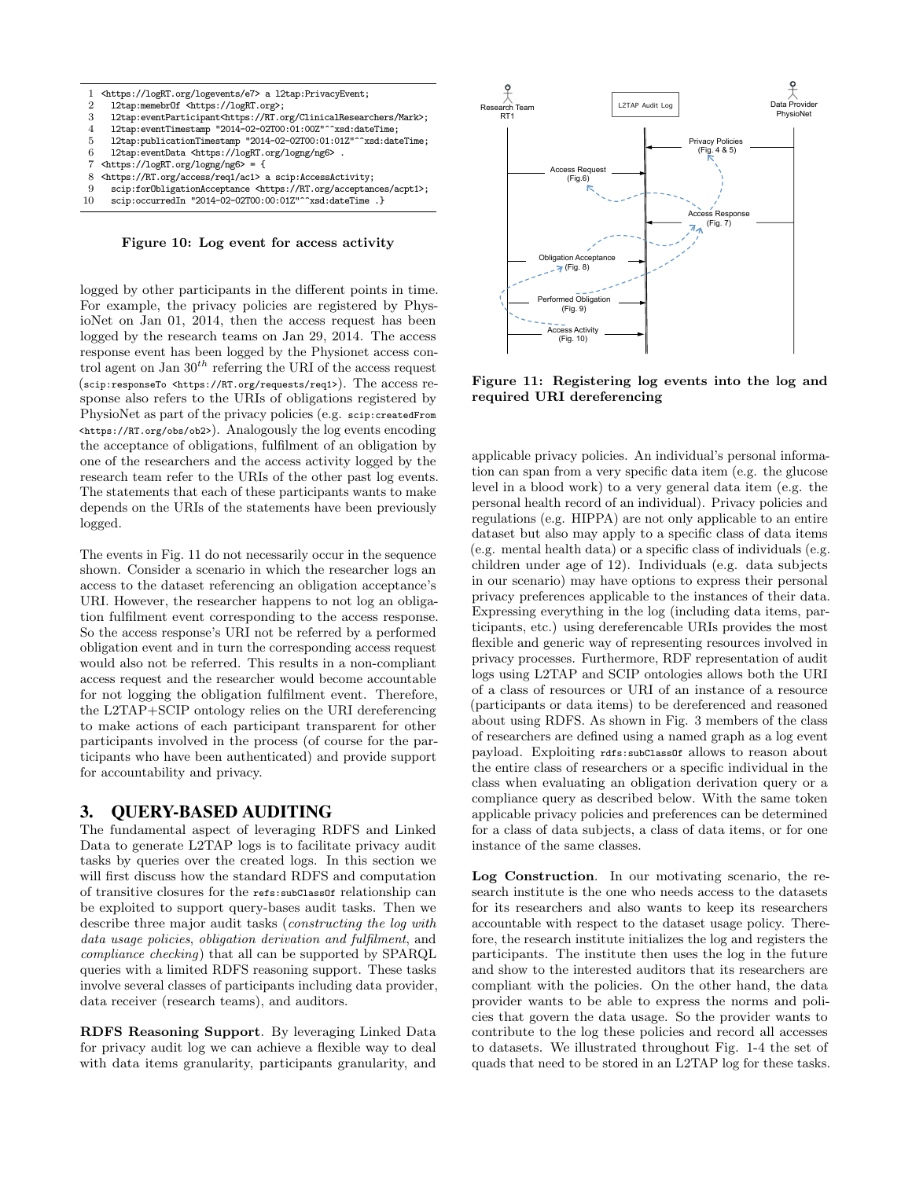

Figure 10: Log event for access activity

logged by other participants in the different points in time. For example, the privacy policies are registered by PhysioNet on Jan 01, 2014, then the access request has been logged by the research teams on Jan 29, 2014. The access response event has been logged by the Physionet access control agent on Jan  $30^{th}$  referring the URI of the access request (scip:responseTo <https://RT.org/requests/req1>). The access response also refers to the URIs of obligations registered by PhysioNet as part of the privacy policies (e.g. scip:createdFrom <https://RT.org/obs/ob2>). Analogously the log events encoding the acceptance of obligations, fulfilment of an obligation by one of the researchers and the access activity logged by the research team refer to the URIs of the other past log events. The statements that each of these participants wants to make depends on the URIs of the statements have been previously logged.

The events in Fig. 11 do not necessarily occur in the sequence shown. Consider a scenario in which the researcher logs an access to the dataset referencing an obligation acceptance's URI. However, the researcher happens to not log an obligation fulfilment event corresponding to the access response. So the access response's URI not be referred by a performed obligation event and in turn the corresponding access request would also not be referred. This results in a non-compliant access request and the researcher would become accountable for not logging the obligation fulfilment event. Therefore, the L2TAP+SCIP ontology relies on the URI dereferencing to make actions of each participant transparent for other participants involved in the process (of course for the participants who have been authenticated) and provide support for accountability and privacy.

### 3. QUERY-BASED AUDITING

The fundamental aspect of leveraging RDFS and Linked Data to generate L2TAP logs is to facilitate privacy audit tasks by queries over the created logs. In this section we will first discuss how the standard RDFS and computation of transitive closures for the refs:subClassOf relationship can be exploited to support query-bases audit tasks. Then we describe three major audit tasks (*constructing the log with* data usage policies, obligation derivation and fulfilment, and compliance checking) that all can be supported by SPARQL queries with a limited RDFS reasoning support. These tasks involve several classes of participants including data provider, data receiver (research teams), and auditors.

RDFS Reasoning Support. By leveraging Linked Data for privacy audit log we can achieve a flexible way to deal with data items granularity, participants granularity, and



Figure 11: Registering log events into the log and required URI dereferencing

applicable privacy policies. An individual's personal information can span from a very specific data item (e.g. the glucose level in a blood work) to a very general data item (e.g. the personal health record of an individual). Privacy policies and regulations (e.g. HIPPA) are not only applicable to an entire dataset but also may apply to a specific class of data items (e.g. mental health data) or a specific class of individuals (e.g. children under age of 12). Individuals (e.g. data subjects in our scenario) may have options to express their personal privacy preferences applicable to the instances of their data. Expressing everything in the log (including data items, participants, etc.) using dereferencable URIs provides the most flexible and generic way of representing resources involved in privacy processes. Furthermore, RDF representation of audit logs using L2TAP and SCIP ontologies allows both the URI of a class of resources or URI of an instance of a resource (participants or data items) to be dereferenced and reasoned about using RDFS. As shown in Fig. 3 members of the class of researchers are defined using a named graph as a log event payload. Exploiting rdfs:subClassOf allows to reason about the entire class of researchers or a specific individual in the class when evaluating an obligation derivation query or a compliance query as described below. With the same token applicable privacy policies and preferences can be determined for a class of data subjects, a class of data items, or for one instance of the same classes.

Log Construction. In our motivating scenario, the research institute is the one who needs access to the datasets for its researchers and also wants to keep its researchers accountable with respect to the dataset usage policy. Therefore, the research institute initializes the log and registers the participants. The institute then uses the log in the future and show to the interested auditors that its researchers are compliant with the policies. On the other hand, the data provider wants to be able to express the norms and policies that govern the data usage. So the provider wants to contribute to the log these policies and record all accesses to datasets. We illustrated throughout Fig. 1-4 the set of quads that need to be stored in an L2TAP log for these tasks.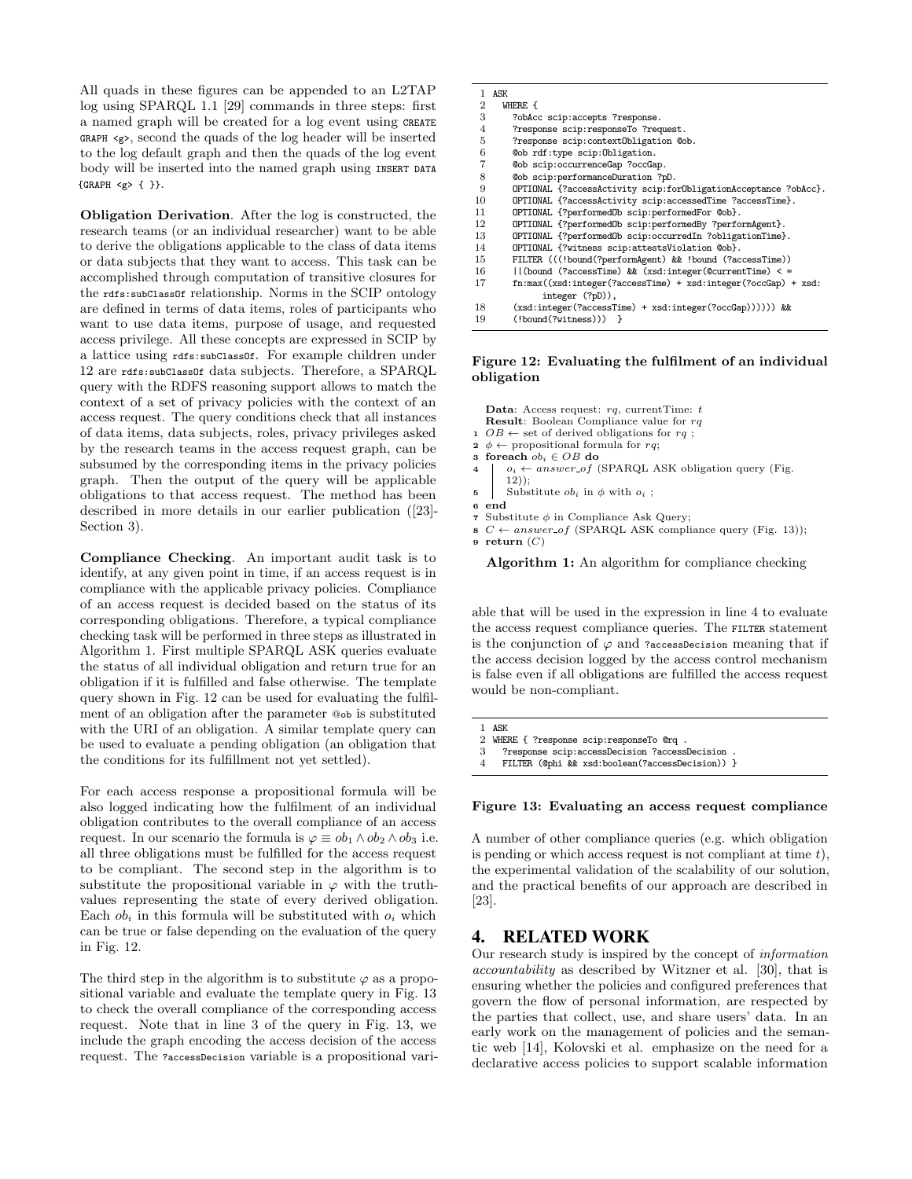All quads in these figures can be appended to an L2TAP log using SPARQL 1.1 [29] commands in three steps: first a named graph will be created for a log event using CREATE GRAPH <g>, second the quads of the log header will be inserted to the log default graph and then the quads of the log event body will be inserted into the named graph using INSERT DATA {GRAPH <g> { }}.

Obligation Derivation. After the log is constructed, the research teams (or an individual researcher) want to be able to derive the obligations applicable to the class of data items or data subjects that they want to access. This task can be accomplished through computation of transitive closures for the rdfs:subClassOf relationship. Norms in the SCIP ontology are defined in terms of data items, roles of participants who want to use data items, purpose of usage, and requested access privilege. All these concepts are expressed in SCIP by a lattice using rdfs:subClassOf. For example children under 12 are rdfs:subClassOf data subjects. Therefore, a SPARQL query with the RDFS reasoning support allows to match the context of a set of privacy policies with the context of an access request. The query conditions check that all instances of data items, data subjects, roles, privacy privileges asked by the research teams in the access request graph, can be subsumed by the corresponding items in the privacy policies graph. Then the output of the query will be applicable obligations to that access request. The method has been described in more details in our earlier publication ([23]- Section 3).

Compliance Checking. An important audit task is to identify, at any given point in time, if an access request is in compliance with the applicable privacy policies. Compliance of an access request is decided based on the status of its corresponding obligations. Therefore, a typical compliance checking task will be performed in three steps as illustrated in Algorithm 1. First multiple SPARQL ASK queries evaluate the status of all individual obligation and return true for an obligation if it is fulfilled and false otherwise. The template query shown in Fig. 12 can be used for evaluating the fulfilment of an obligation after the parameter @ob is substituted with the URI of an obligation. A similar template query can be used to evaluate a pending obligation (an obligation that the conditions for its fulfillment not yet settled).

For each access response a propositional formula will be also logged indicating how the fulfilment of an individual obligation contributes to the overall compliance of an access request. In our scenario the formula is  $\varphi \equiv ob_1 \wedge ob_2 \wedge ob_3$  i.e. all three obligations must be fulfilled for the access request to be compliant. The second step in the algorithm is to substitute the propositional variable in  $\varphi$  with the truthvalues representing the state of every derived obligation. Each  $ob_i$  in this formula will be substituted with  $o_i$  which can be true or false depending on the evaluation of the query in Fig. 12.

The third step in the algorithm is to substitute  $\varphi$  as a propositional variable and evaluate the template query in Fig. 13 to check the overall compliance of the corresponding access request. Note that in line 3 of the query in Fig. 13, we include the graph encoding the access decision of the access request. The ?accessDecision variable is a propositional vari-

|                | 1 ASK                                                               |
|----------------|---------------------------------------------------------------------|
| 2              | WHERE {                                                             |
| 3              | ?obAcc scip:accepts ?response.                                      |
| $\overline{4}$ | ?response scip:responseTo ?request.                                 |
| 5              | ?response scip:contextObligation @ob.                               |
| 6              | @ob rdf:type scip:Obligation.                                       |
| 7              | @ob scip:occurrenceGap ?occGap.                                     |
| 8              | @ob scip:performanceDuration ?pD.                                   |
| 9              | OPTIONAL {?accessActivity scip:forObligationAcceptance ?obAcc}.     |
| 10             | OPTIONAL {?accessActivity scip:accessedTime ?accessTime}.           |
| 11             | OPTIONAL {?performedOb scip:performedFor @ob}.                      |
| 12             | OPTIONAL {?performedOb scip:performedBy ?performAgent}.             |
| 13             | OPTIONAL {?performedOb scip:occurredIn ?obligationTime}.            |
| 14             | OPTIONAL {?witness scip:attestsViolation @ob}.                      |
| 15             | FILTER (((!bound(?performAgent) && !bound (?accessTime))            |
| 16             | $\vert\vert$ (bound (?accessTime) && (xsd:integer(@currentTime) < = |
| 17             | $fn:max((xsd:integer(?accessTime) + xsd:integer(?occGap) + xsd:$    |
|                | integer (?pD)),                                                     |
| 18             | (xsd:integer(?accessTime) + xsd:integer(?occGap)))))) &&            |
| 19             | $(!$ bound $(?$ witness $))$ }                                      |

#### Figure 12: Evaluating the fulfilment of an individual obligation

Data: Access request:  $rq$ , currentTime: t Result: Boolean Compliance value for rq  $1 \tOB \leftarrow$  set of derived obligations for  $rq$ ; 2  $\phi \leftarrow$  propositional formula for rq; 3 foreach  $ob_i \in OB$  do 4  $\vert$   $o_i \leftarrow answer\_of$  (SPARQL ASK obligation query (Fig. 12)); 5 Substitute  $ob_i$  in  $\phi$  with  $o_i$ ; 6 end

- $\tau$ Substitute $\phi$  in Compliance Ask Query;
- 8  $C \leftarrow answer\_of$  (SPARQL ASK compliance query (Fig. 13));

9 return  $(C)$ 

Algorithm 1: An algorithm for compliance checking

able that will be used in the expression in line 4 to evaluate the access request compliance queries. The FILTER statement is the conjunction of  $\varphi$  and ?accessDecision meaning that if the access decision logged by the access control mechanism is false even if all obligations are fulfilled the access request would be non-compliant.

1 ASK

- 2 WHERE { ?response scip:responseTo @rq 3 ?response scip:accessDecision ?acces
- 3 ?response scip:accessDecision ?accessDecision .

#### Figure 13: Evaluating an access request compliance

A number of other compliance queries (e.g. which obligation is pending or which access request is not compliant at time  $t$ ), the experimental validation of the scalability of our solution, and the practical benefits of our approach are described in [23].

## 4. RELATED WORK

Our research study is inspired by the concept of information accountability as described by Witzner et al. [30], that is ensuring whether the policies and configured preferences that govern the flow of personal information, are respected by the parties that collect, use, and share users' data. In an early work on the management of policies and the semantic web [14], Kolovski et al. emphasize on the need for a declarative access policies to support scalable information

<sup>4</sup> FILTER (@phi && xsd:boolean(?accessDecision)) }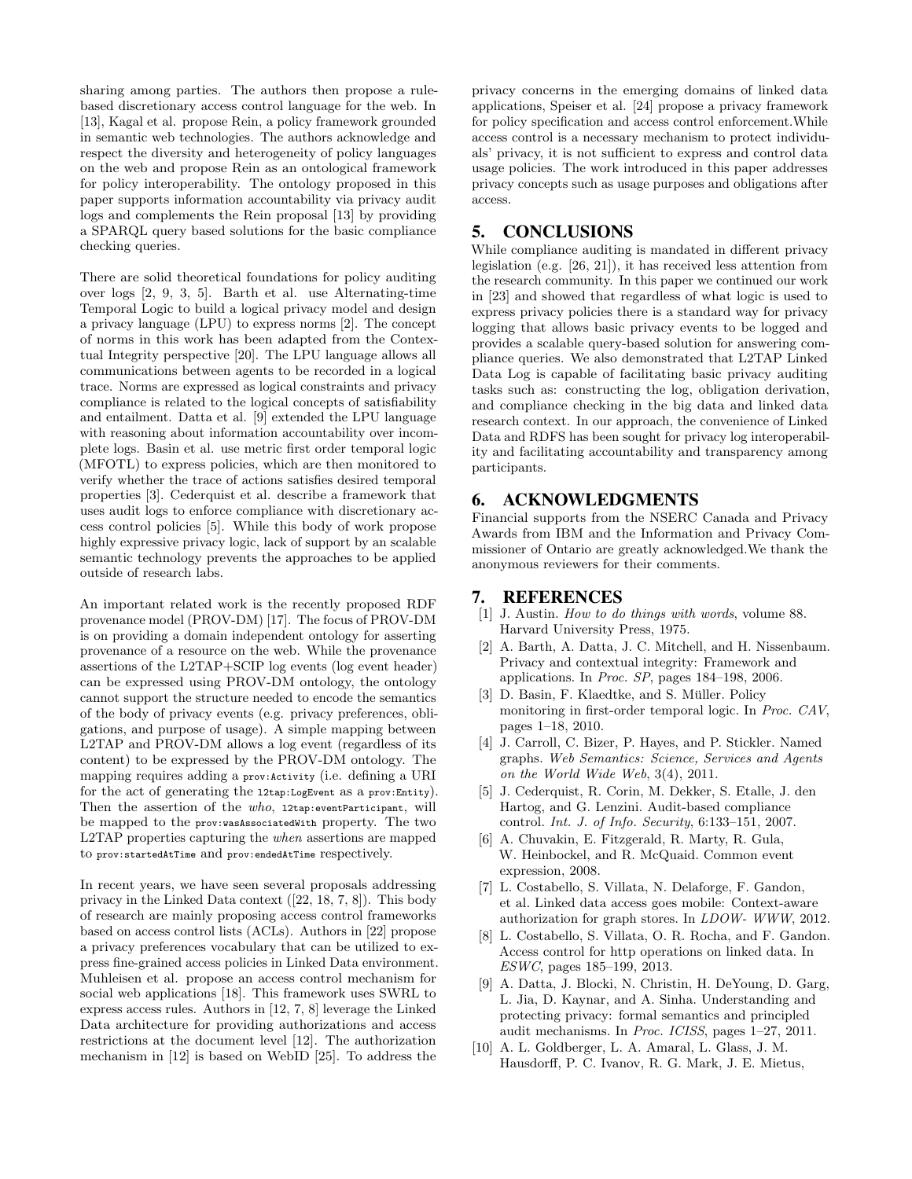sharing among parties. The authors then propose a rulebased discretionary access control language for the web. In [13], Kagal et al. propose Rein, a policy framework grounded in semantic web technologies. The authors acknowledge and respect the diversity and heterogeneity of policy languages on the web and propose Rein as an ontological framework for policy interoperability. The ontology proposed in this paper supports information accountability via privacy audit logs and complements the Rein proposal [13] by providing a SPARQL query based solutions for the basic compliance checking queries.

There are solid theoretical foundations for policy auditing over logs [2, 9, 3, 5]. Barth et al. use Alternating-time Temporal Logic to build a logical privacy model and design a privacy language (LPU) to express norms [2]. The concept of norms in this work has been adapted from the Contextual Integrity perspective [20]. The LPU language allows all communications between agents to be recorded in a logical trace. Norms are expressed as logical constraints and privacy compliance is related to the logical concepts of satisfiability and entailment. Datta et al. [9] extended the LPU language with reasoning about information accountability over incomplete logs. Basin et al. use metric first order temporal logic (MFOTL) to express policies, which are then monitored to verify whether the trace of actions satisfies desired temporal properties [3]. Cederquist et al. describe a framework that uses audit logs to enforce compliance with discretionary access control policies [5]. While this body of work propose highly expressive privacy logic, lack of support by an scalable semantic technology prevents the approaches to be applied outside of research labs.

An important related work is the recently proposed RDF provenance model (PROV-DM) [17]. The focus of PROV-DM is on providing a domain independent ontology for asserting provenance of a resource on the web. While the provenance assertions of the L2TAP+SCIP log events (log event header) can be expressed using PROV-DM ontology, the ontology cannot support the structure needed to encode the semantics of the body of privacy events (e.g. privacy preferences, obligations, and purpose of usage). A simple mapping between L2TAP and PROV-DM allows a log event (regardless of its content) to be expressed by the PROV-DM ontology. The mapping requires adding a prov:Activity (i.e. defining a URI for the act of generating the l2tap:LogEvent as a prov:Entity). Then the assertion of the who, 12tap:eventParticipant, will be mapped to the prov:wasAssociatedWith property. The two L2TAP properties capturing the when assertions are mapped to prov:startedAtTime and prov:endedAtTime respectively.

In recent years, we have seen several proposals addressing privacy in the Linked Data context ([22, 18, 7, 8]). This body of research are mainly proposing access control frameworks based on access control lists (ACLs). Authors in [22] propose a privacy preferences vocabulary that can be utilized to express fine-grained access policies in Linked Data environment. Muhleisen et al. propose an access control mechanism for social web applications [18]. This framework uses SWRL to express access rules. Authors in [12, 7, 8] leverage the Linked Data architecture for providing authorizations and access restrictions at the document level [12]. The authorization mechanism in [12] is based on WebID [25]. To address the

privacy concerns in the emerging domains of linked data applications, Speiser et al. [24] propose a privacy framework for policy specification and access control enforcement.While access control is a necessary mechanism to protect individuals' privacy, it is not sufficient to express and control data usage policies. The work introduced in this paper addresses privacy concepts such as usage purposes and obligations after access.

# 5. CONCLUSIONS

While compliance auditing is mandated in different privacy legislation (e.g. [26, 21]), it has received less attention from the research community. In this paper we continued our work in [23] and showed that regardless of what logic is used to express privacy policies there is a standard way for privacy logging that allows basic privacy events to be logged and provides a scalable query-based solution for answering compliance queries. We also demonstrated that L2TAP Linked Data Log is capable of facilitating basic privacy auditing tasks such as: constructing the log, obligation derivation, and compliance checking in the big data and linked data research context. In our approach, the convenience of Linked Data and RDFS has been sought for privacy log interoperability and facilitating accountability and transparency among participants.

## 6. ACKNOWLEDGMENTS

Financial supports from the NSERC Canada and Privacy Awards from IBM and the Information and Privacy Commissioner of Ontario are greatly acknowledged.We thank the anonymous reviewers for their comments.

## 7. REFERENCES

- [1] J. Austin. How to do things with words, volume 88. Harvard University Press, 1975.
- [2] A. Barth, A. Datta, J. C. Mitchell, and H. Nissenbaum. Privacy and contextual integrity: Framework and applications. In Proc. SP, pages 184–198, 2006.
- [3] D. Basin, F. Klaedtke, and S. Müller. Policy monitoring in first-order temporal logic. In Proc. CAV, pages 1–18, 2010.
- [4] J. Carroll, C. Bizer, P. Hayes, and P. Stickler. Named graphs. Web Semantics: Science, Services and Agents on the World Wide Web, 3(4), 2011.
- [5] J. Cederquist, R. Corin, M. Dekker, S. Etalle, J. den Hartog, and G. Lenzini. Audit-based compliance control. Int. J. of Info. Security, 6:133–151, 2007.
- [6] A. Chuvakin, E. Fitzgerald, R. Marty, R. Gula, W. Heinbockel, and R. McQuaid. Common event expression, 2008.
- [7] L. Costabello, S. Villata, N. Delaforge, F. Gandon, et al. Linked data access goes mobile: Context-aware authorization for graph stores. In LDOW- WWW, 2012.
- [8] L. Costabello, S. Villata, O. R. Rocha, and F. Gandon. Access control for http operations on linked data. In ESWC, pages 185–199, 2013.
- [9] A. Datta, J. Blocki, N. Christin, H. DeYoung, D. Garg, L. Jia, D. Kaynar, and A. Sinha. Understanding and protecting privacy: formal semantics and principled audit mechanisms. In Proc. ICISS, pages 1–27, 2011.
- [10] A. L. Goldberger, L. A. Amaral, L. Glass, J. M. Hausdorff, P. C. Ivanov, R. G. Mark, J. E. Mietus,